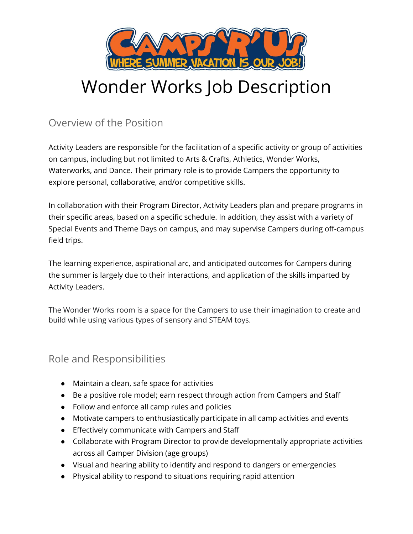

# Wonder Works Job Description

# Overview of the Position

Activity Leaders are responsible for the facilitation of a specific activity or group of activities on campus, including but not limited to Arts & Crafts, Athletics, Wonder Works, Waterworks, and Dance. Their primary role is to provide Campers the opportunity to explore personal, collaborative, and/or competitive skills.

In collaboration with their Program Director, Activity Leaders plan and prepare programs in their specific areas, based on a specific schedule. In addition, they assist with a variety of Special Events and Theme Days on campus, and may supervise Campers during off-campus field trips.

The learning experience, aspirational arc, and anticipated outcomes for Campers during the summer is largely due to their interactions, and application of the skills imparted by Activity Leaders.

The Wonder Works room is a space for the Campers to use their imagination to create and build while using various types of sensory and STEAM toys.

## Role and Responsibilities

- Maintain a clean, safe space for activities
- Be a positive role model; earn respect through action from Campers and Staff
- Follow and enforce all camp rules and policies
- Motivate campers to enthusiastically participate in all camp activities and events
- Effectively communicate with Campers and Staff
- Collaborate with Program Director to provide developmentally appropriate activities across all Camper Division (age groups)
- Visual and hearing ability to identify and respond to dangers or emergencies
- Physical ability to respond to situations requiring rapid attention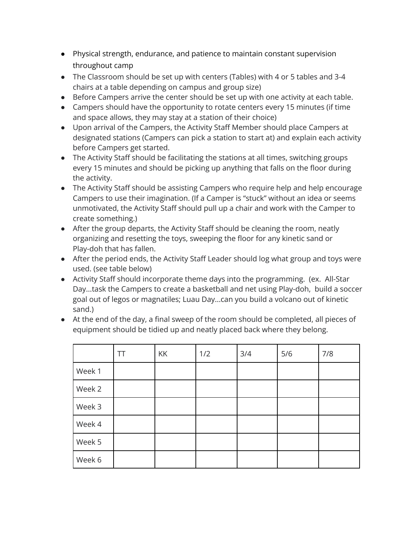- Physical strength, endurance, and patience to maintain constant supervision throughout camp
- The Classroom should be set up with centers (Tables) with 4 or 5 tables and 3-4 chairs at a table depending on campus and group size)
- Before Campers arrive the center should be set up with one activity at each table.
- Campers should have the opportunity to rotate centers every 15 minutes (if time and space allows, they may stay at a station of their choice)
- Upon arrival of the Campers, the Activity Staff Member should place Campers at designated stations (Campers can pick a station to start at) and explain each activity before Campers get started.
- The Activity Staff should be facilitating the stations at all times, switching groups every 15 minutes and should be picking up anything that falls on the floor during the activity.
- The Activity Staff should be assisting Campers who require help and help encourage Campers to use their imagination. (If a Camper is "stuck" without an idea or seems unmotivated, the Activity Staff should pull up a chair and work with the Camper to create something.)
- After the group departs, the Activity Staff should be cleaning the room, neatly organizing and resetting the toys, sweeping the floor for any kinetic sand or Play-doh that has fallen.
- After the period ends, the Activity Staff Leader should log what group and toys were used. (see table below)
- Activity Staff should incorporate theme days into the programming. (ex. All-Star Day...task the Campers to create a basketball and net using Play-doh, build a soccer goal out of legos or magnatiles; Luau Day...can you build a volcano out of kinetic sand.)
- At the end of the day, a final sweep of the room should be completed, all pieces of equipment should be tidied up and neatly placed back where they belong.

|        | ТT | KK | 1/2 | 3/4 | 5/6 | 7/8 |
|--------|----|----|-----|-----|-----|-----|
| Week 1 |    |    |     |     |     |     |
| Week 2 |    |    |     |     |     |     |
| Week 3 |    |    |     |     |     |     |
| Week 4 |    |    |     |     |     |     |
| Week 5 |    |    |     |     |     |     |
| Week 6 |    |    |     |     |     |     |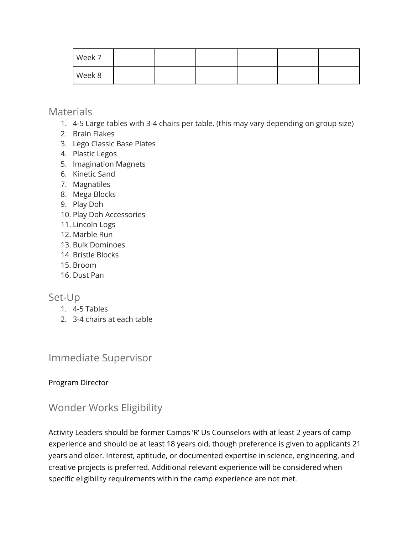| Week 7 |  |  |  |
|--------|--|--|--|
| Week 8 |  |  |  |

### **Materials**

- 1. 4-5 Large tables with 3-4 chairs per table. (this may vary depending on group size)
- 2. Brain Flakes
- 3. Lego Classic Base Plates
- 4. Plastic Legos
- 5. Imagination Magnets
- 6. Kinetic Sand
- 7. Magnatiles
- 8. Mega Blocks
- 9. Play Doh
- 10. Play Doh Accessories
- 11. Lincoln Logs
- 12. Marble Run
- 13. Bulk Dominoes
- 14. Bristle Blocks
- 15. Broom
- 16. Dust Pan

## Set-Up

- 1. 4-5 Tables
- 2. 3-4 chairs at each table

## Immediate Supervisor

#### Program Director

# Wonder Works Eligibility

Activity Leaders should be former Camps 'R' Us Counselors with at least 2 years of camp experience and should be at least 18 years old, though preference is given to applicants 21 years and older. Interest, aptitude, or documented expertise in science, engineering, and creative projects is preferred. Additional relevant experience will be considered when specific eligibility requirements within the camp experience are not met.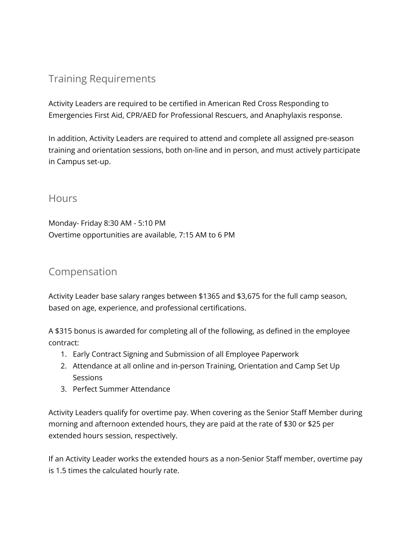# Training Requirements

Activity Leaders are required to be certified in American Red Cross Responding to Emergencies First Aid, CPR/AED for Professional Rescuers, and Anaphylaxis response.

In addition, Activity Leaders are required to attend and complete all assigned pre-season training and orientation sessions, both on-line and in person, and must actively participate in Campus set-up.

#### **Hours**

Monday- Friday 8:30 AM - 5:10 PM Overtime opportunities are available, 7:15 AM to 6 PM

## Compensation

Activity Leader base salary ranges between \$1365 and \$3,675 for the full camp season, based on age, experience, and professional certifications.

A \$315 bonus is awarded for completing all of the following, as defined in the employee contract:

- 1. Early Contract Signing and Submission of all Employee Paperwork
- 2. Attendance at all online and in-person Training, Orientation and Camp Set Up **Sessions**
- 3. Perfect Summer Attendance

Activity Leaders qualify for overtime pay. When covering as the Senior Staff Member during morning and afternoon extended hours, they are paid at the rate of \$30 or \$25 per extended hours session, respectively.

If an Activity Leader works the extended hours as a non-Senior Staff member, overtime pay is 1.5 times the calculated hourly rate.